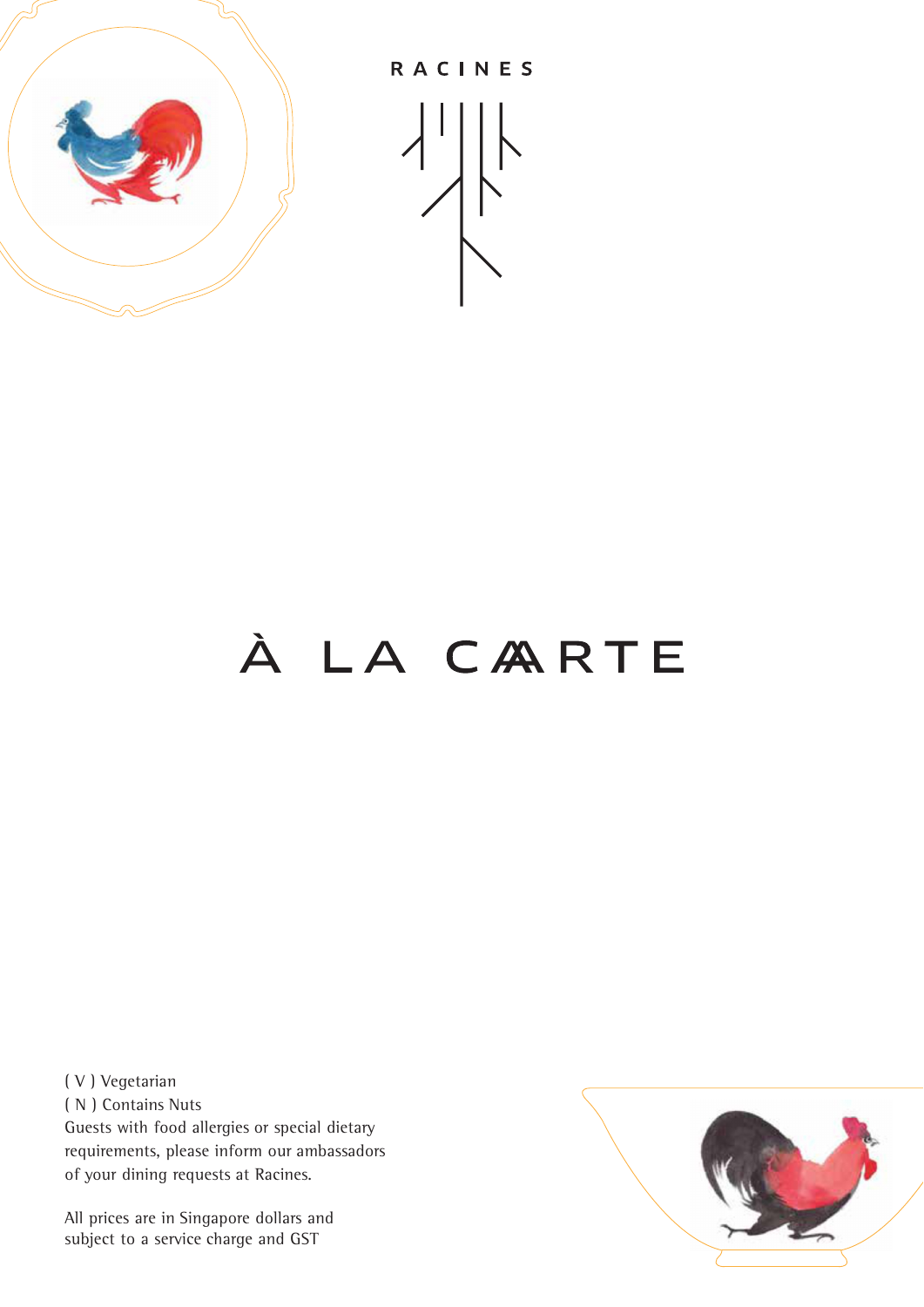

RACINES



# À LA CARTE

( V ) Vegetarian ( N ) Contains Nuts Guests with food allergies or special dietary requirements, please inform our ambassadors of your dining requests at Racines.

All prices are in Singapore dollars and subject to a service charge and GST

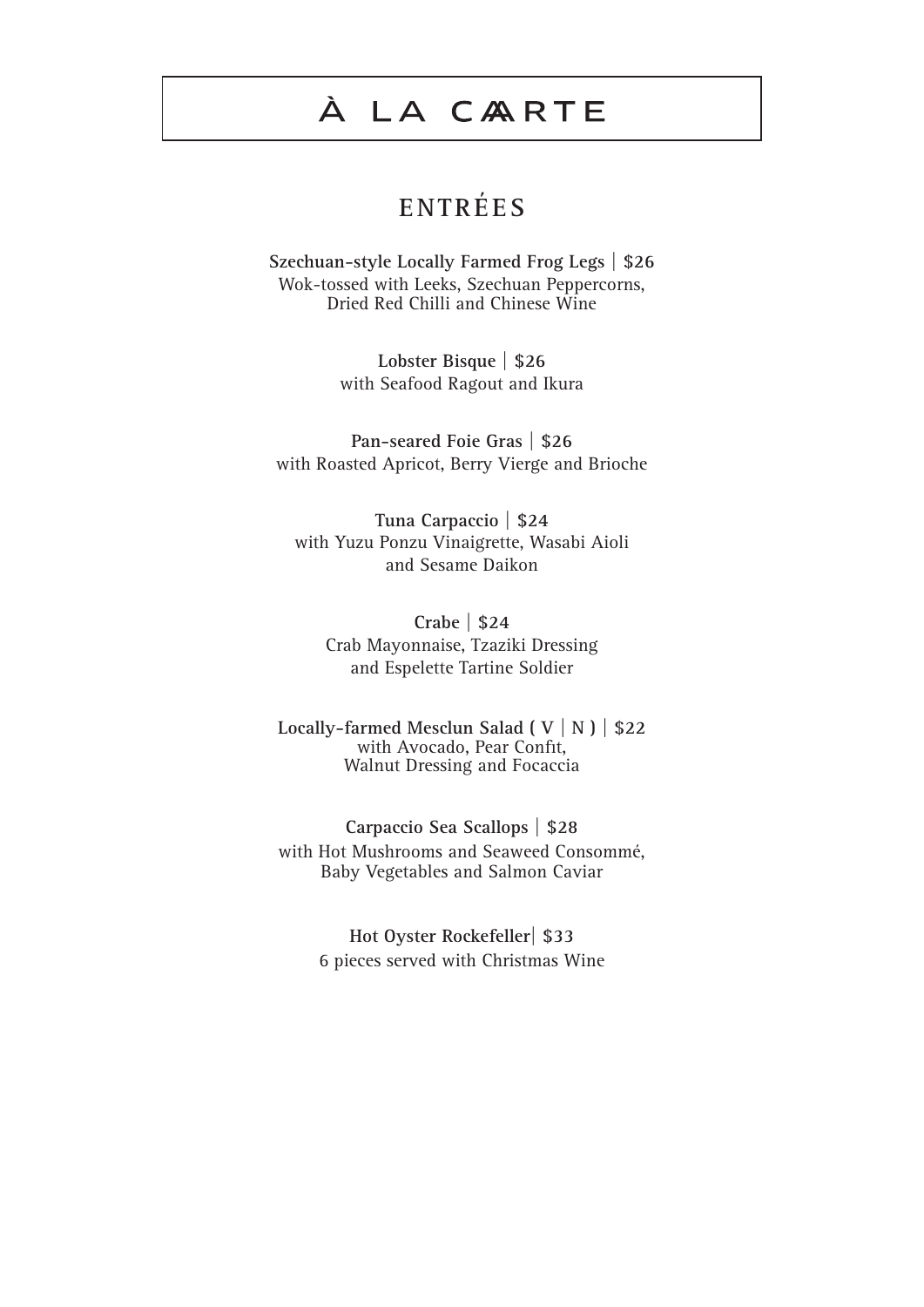## **E N T R É E S**

**Szechuan-style Locally Farmed Frog Legs | \$26** Wok-tossed with Leeks, Szechuan Peppercorns, Dried Red Chilli and Chinese Wine

> **Lobster Bisque | \$26** with Seafood Ragout and Ikura

**Pan-seared Foie Gras | \$26** with Roasted Apricot, Berry Vierge and Brioche

**Tuna Carpaccio | \$24** with Yuzu Ponzu Vinaigrette, Wasabi Aioli and Sesame Daikon

**Crabe | \$24** Crab Mayonnaise, Tzaziki Dressing and Espelette Tartine Soldier

**Locally-farmed Mesclun Salad ( V | N ) | \$22** with Avocado, Pear Confit, Walnut Dressing and Focaccia

**Carpaccio Sea Scallops | \$28** with Hot Mushrooms and Seaweed Consommé, Baby Vegetables and Salmon Caviar

> **Hot Oyster Rockefeller| \$33** 6 pieces served with Christmas Wine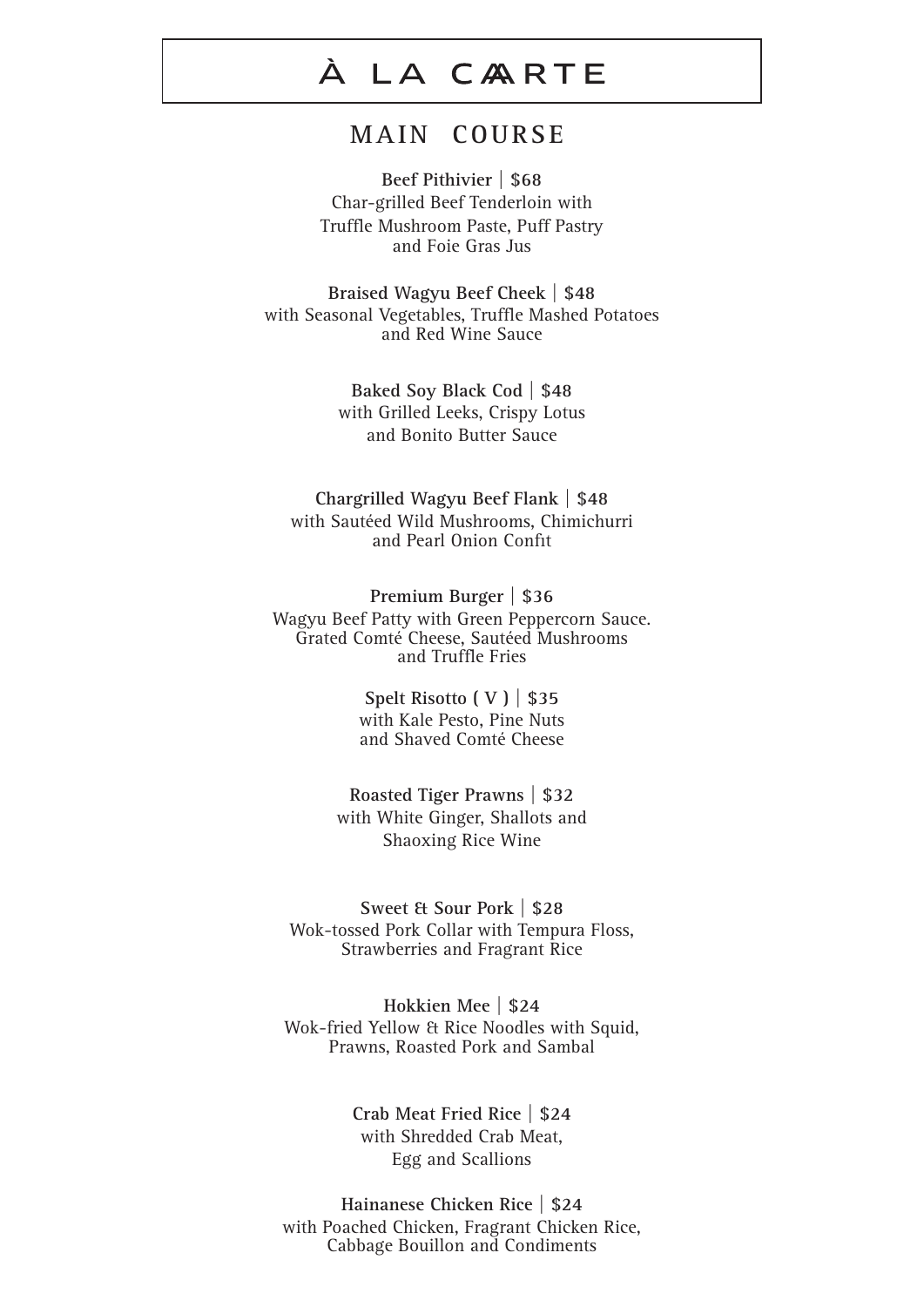#### **M A IN C O U R S E**

**Beef Pithivier | \$68** Char-grilled Beef Tenderloin with Truffle Mushroom Paste, Puff Pastry and Foie Gras Jus

**Braised Wagyu Beef Cheek | \$48** with Seasonal Vegetables, Truffle Mashed Potatoes and Red Wine Sauce

> **Baked Soy Black Cod | \$48** with Grilled Leeks, Crispy Lotus and Bonito Butter Sauce

**Chargrilled Wagyu Beef Flank | \$48** with Sautéed Wild Mushrooms, Chimichurri and Pearl Onion Confit

**Premium Burger | \$36** Wagyu Beef Patty with Green Peppercorn Sauce. Grated Comté Cheese, Sautéed Mushrooms and Truffle Fries

> **Spelt Risotto ( V ) | \$35** with Kale Pesto, Pine Nuts and Shaved Comté Cheese

**Roasted Tiger Prawns | \$32** with White Ginger, Shallots and Shaoxing Rice Wine

**Sweet & Sour Pork | \$28** Wok-tossed Pork Collar with Tempura Floss, Strawberries and Fragrant Rice

**Hokkien Mee | \$24** Wok-fried Yellow & Rice Noodles with Squid, Prawns, Roasted Pork and Sambal

> **Crab Meat Fried Rice | \$24** with Shredded Crab Meat, Egg and Scallions

**Hainanese Chicken Rice | \$24** with Poached Chicken, Fragrant Chicken Rice, Cabbage Bouillon and Condiments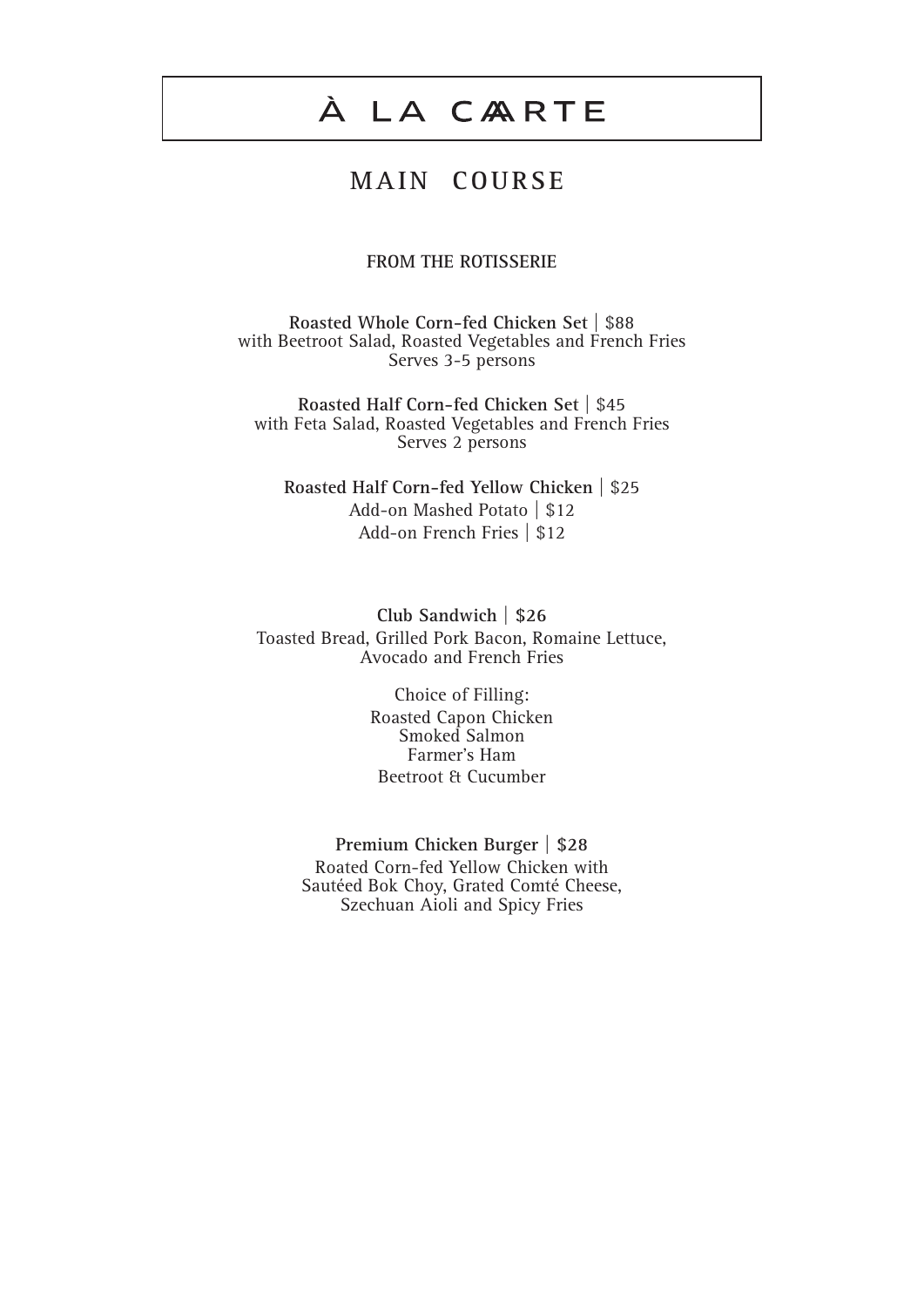### **M A IN C O U R S E**

#### **FROM THE ROTISSERIE**

**Roasted Whole Corn-fed Chicken Set** | \$88 with Beetroot Salad, Roasted Vegetables and French Fries Serves 3-5 persons

**Roasted Half Corn-fed Chicken Set** | \$45 with Feta Salad, Roasted Vegetables and French Fries Serves 2 persons

**Roasted Half Corn-fed Yellow Chicken** | \$25 Add-on Mashed Potato | \$12 Add-on French Fries | \$12

**Club Sandwich | \$26** Toasted Bread, Grilled Pork Bacon, Romaine Lettuce, Avocado and French Fries

> Choice of Filling: Roasted Capon Chicken Smoked Salmon Farmer's Ham Beetroot & Cucumber

**Premium Chicken Burger | \$28** Roated Corn-fed Yellow Chicken with Sautéed Bok Choy, Grated Comté Cheese, Szechuan Aioli and Spicy Fries